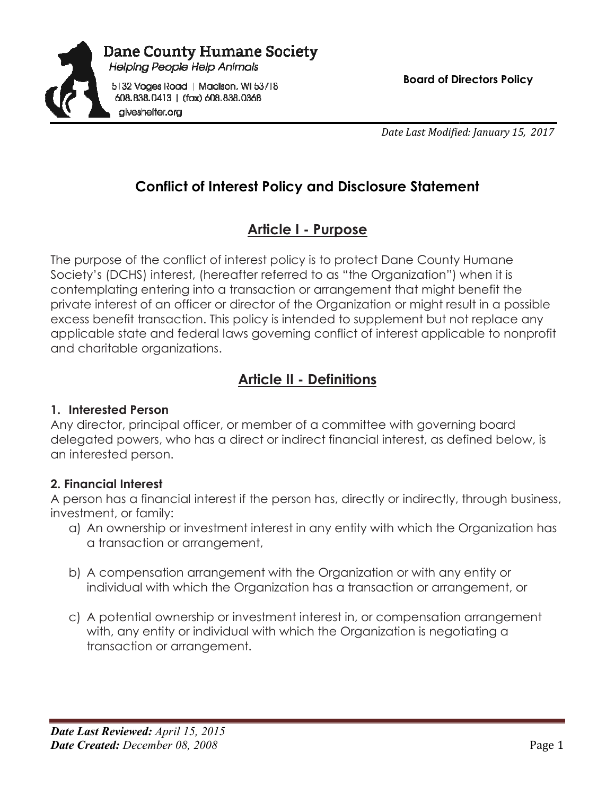

*Date Last Modified Modified: January 15, 2017*

## **Conflict of Interest Policy and Disclosure Statement**

### **Article I - Purpose**

The purpose of the conflict of interest policy is to protect Dane County H Humane Society's (DCHS) interest, (hereafter referred to as "the Organization") contemplating entering into a transaction or arrangement that might benefit the private interest of an officer or director of the Organization or might result in a possible excess benefit transaction. This policy is intended to supplement but not replace any applicable state and federal laws governing conflict of interest applicable to nonprofit and charitable organizations. The purpose of the conflict of interest policy is to protect Dane County Humane<br>Society's (DCHS) interest, (hereafter referred to as "the Organization") when it is<br>contemplating entering into a transaction or arrangement t when it is

### **Article II - Definitions**

#### **1. Interested Person**

Any director, principal officer, or member of a committee with governing board delegated powers, who has a direct or indirect financial interest, as defined below, is an interested person. or member of a committee with governing board<br>delegated powers, who has a direct or indirect financial interest, as defined below, is<br>an interested person.<br>**2. Financial Interest**<br>A person has a financial interest if the p

#### **2. Financial Interest**

A person has a financial interest if the person has, directly or indirectly, through business, investment, or family:

- a) An ownership or investment interest in any entity with which the Organization has a transaction or arrangement,
- b) A compensation arrangement with the Organization or with any entity or individual with which the Orga nization
- c) A potential ownership or investment interest in, or compensation arrangement with, any entity or individual with which the Organization is negotiating a transaction or arrangement. A potential ownership or investment<br>with, any entity or individual with whi<br>transaction or arrangement.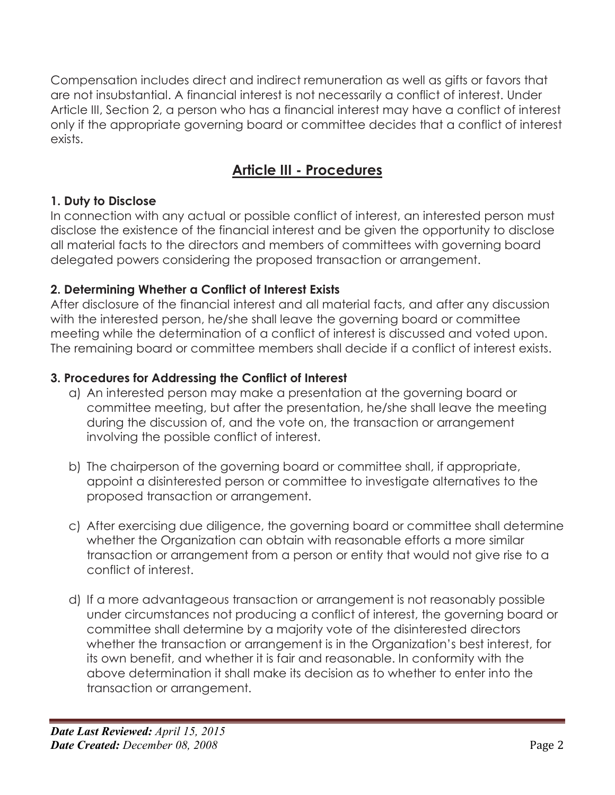Compensation includes direct and indirect remuneration as well as gifts or favors that are not insubstantial. A financial interest is not necessarily a conflict of interest. Under Article III, Section 2, a person who has a financial interest may have a conflict of interest only if the appropriate governing board or committee decides that a conflict of interest exists.

# **Article III - Procedures**

#### **1. Duty to Disclose**

In connection with any actual or possible conflict of interest, an interested person must disclose the existence of the financial interest and be given the opportunity to disclose all material facts to the directors and members of committees with governing board delegated powers considering the proposed transaction or arrangement.

#### **2. Determining Whether a Conflict of Interest Exists**

After disclosure of the financial interest and all material facts, and after any discussion with the interested person, he/she shall leave the governing board or committee meeting while the determination of a conflict of interest is discussed and voted upon. The remaining board or committee members shall decide if a conflict of interest exists.

#### **3. Procedures for Addressing the Conflict of Interest**

- a) An interested person may make a presentation at the governing board or committee meeting, but after the presentation, he/she shall leave the meeting during the discussion of, and the vote on, the transaction or arrangement involving the possible conflict of interest.
- b) The chairperson of the governing board or committee shall, if appropriate, appoint a disinterested person or committee to investigate alternatives to the proposed transaction or arrangement.
- c) After exercising due diligence, the governing board or committee shall determine whether the Organization can obtain with reasonable efforts a more similar transaction or arrangement from a person or entity that would not give rise to a conflict of interest.
- d) If a more advantageous transaction or arrangement is not reasonably possible under circumstances not producing a conflict of interest, the governing board or committee shall determine by a majority vote of the disinterested directors whether the transaction or arrangement is in the Organization's best interest, for its own benefit, and whether it is fair and reasonable. In conformity with the above determination it shall make its decision as to whether to enter into the transaction or arrangement.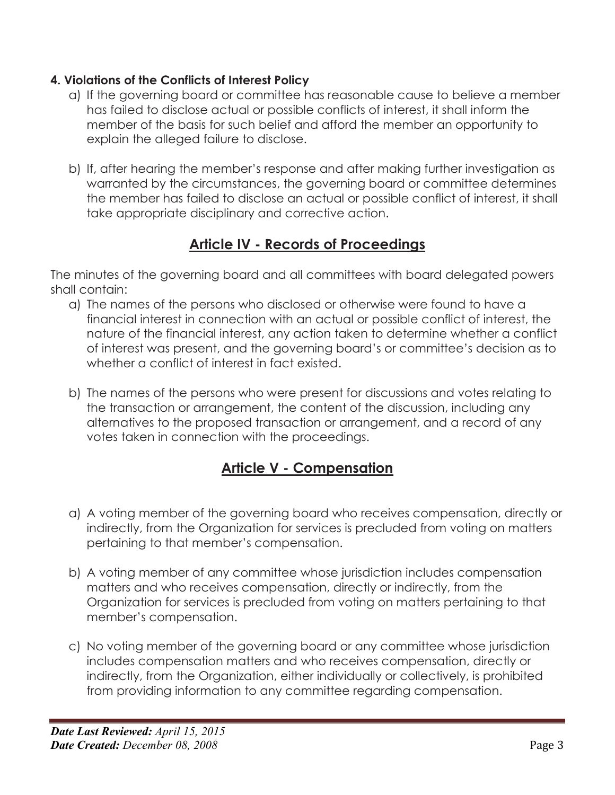#### **4. Violations of the Conflicts of Interest Policy**

- a) If the governing board or committee has reasonable cause to believe a member has failed to disclose actual or possible conflicts of interest, it shall inform the member of the basis for such belief and afford the member an opportunity to explain the alleged failure to disclose.
- b) If, after hearing the member's response and after making further investigation as warranted by the circumstances, the governing board or committee determines the member has failed to disclose an actual or possible conflict of interest, it shall take appropriate disciplinary and corrective action.

# **Article IV - Records of Proceedings**

The minutes of the governing board and all committees with board delegated powers shall contain:

- a) The names of the persons who disclosed or otherwise were found to have a financial interest in connection with an actual or possible conflict of interest, the nature of the financial interest, any action taken to determine whether a conflict of interest was present, and the governing board's or committee's decision as to whether a conflict of interest in fact existed.
- b) The names of the persons who were present for discussions and votes relating to the transaction or arrangement, the content of the discussion, including any alternatives to the proposed transaction or arrangement, and a record of any votes taken in connection with the proceedings.

# **Article V - Compensation**

- a) A voting member of the governing board who receives compensation, directly or indirectly, from the Organization for services is precluded from voting on matters pertaining to that member's compensation.
- b) A voting member of any committee whose jurisdiction includes compensation matters and who receives compensation, directly or indirectly, from the Organization for services is precluded from voting on matters pertaining to that member's compensation.
- c) No voting member of the governing board or any committee whose jurisdiction includes compensation matters and who receives compensation, directly or indirectly, from the Organization, either individually or collectively, is prohibited from providing information to any committee regarding compensation.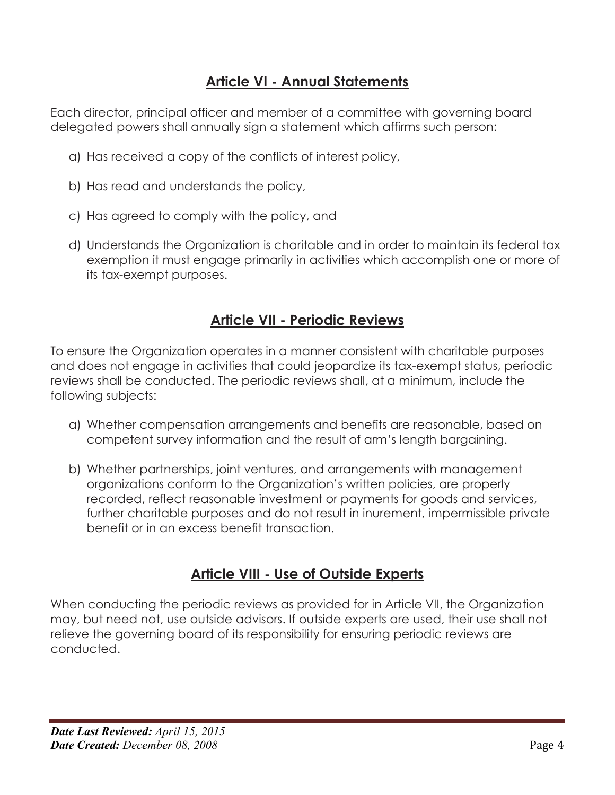### **Article VI - Annual Statements**

Each director, principal officer and member of a committee with governing board delegated powers shall annually sign a statement which affirms such person:

- a) Has received a copy of the conflicts of interest policy,
- b) Has read and understands the policy,
- c) Has agreed to comply with the policy, and
- d) Understands the Organization is charitable and in order to maintain its federal tax exemption it must engage primarily in activities which accomplish one or more of its tax-exempt purposes.

### **Article VII - Periodic Reviews**

To ensure the Organization operates in a manner consistent with charitable purposes and does not engage in activities that could jeopardize its tax-exempt status, periodic reviews shall be conducted. The periodic reviews shall, at a minimum, include the following subjects:

- a) Whether compensation arrangements and benefits are reasonable, based on competent survey information and the result of arm's length bargaining.
- b) Whether partnerships, joint ventures, and arrangements with management organizations conform to the Organization's written policies, are properly recorded, reflect reasonable investment or payments for goods and services, further charitable purposes and do not result in inurement, impermissible private benefit or in an excess benefit transaction.

## **Article VIII - Use of Outside Experts**

When conducting the periodic reviews as provided for in Article VII, the Organization may, but need not, use outside advisors. If outside experts are used, their use shall not relieve the governing board of its responsibility for ensuring periodic reviews are conducted.